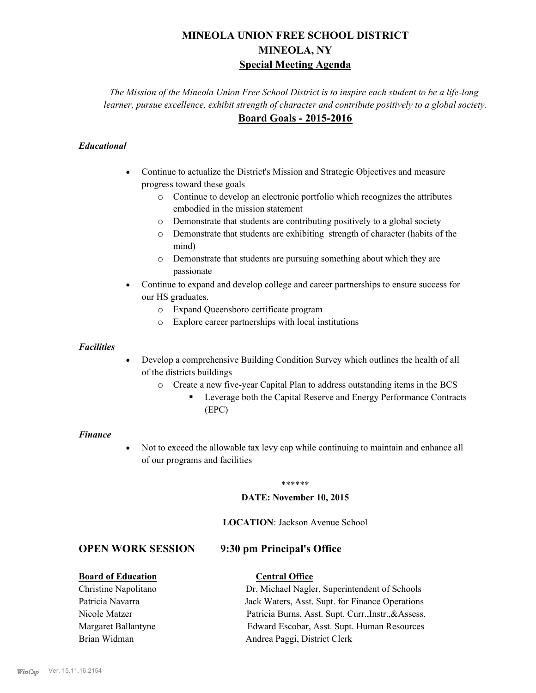# **MINEOLA UNION FREE SCHOOL DISTRICT MINEOLA, NY Special Meeting Agenda**

*The Mission of the Mineola Union Free School District is to inspire each student to be a life-long learner, pursue excellence, exhibit strength of character and contribute positively to a global society.* **Board Goals - 2015-2016**

## *Educational*

- · Continue to actualize the District's Mission and Strategic Objectives and measure progress toward these goals
	- o Continue to develop an electronic portfolio which recognizes the attributes embodied in the mission statement
	- o Demonstrate that students are contributing positively to a global society
	- o Demonstrate that students are exhibiting strength of character (habits of the mind)
	- o Demonstrate that students are pursuing something about which they are passionate
- Continue to expand and develop college and career partnerships to ensure success for our HS graduates.
	- o Expand Queensboro certificate program
	- o Explore career partnerships with local institutions

## *Facilities*

- Develop a comprehensive Building Condition Survey which outlines the health of all of the districts buildings
	- o Create a new five-year Capital Plan to address outstanding items in the BCS
		- § Leverage both the Capital Reserve and Energy Performance Contracts (EPC)

## *Finance*

• Not to exceed the allowable tax levy cap while continuing to maintain and enhance all of our programs and facilities

#### \*\*\*\*\*\*

## **DATE: November 10, 2015**

**LOCATION**: Jackson Avenue School

## **OPEN WORK SESSION 9:30 pm Principal's Office**

| <b>Board of Education</b> | <b>Central Office</b>                                |
|---------------------------|------------------------------------------------------|
| Christine Napolitano      | Dr. Michael Nagler, Superintendent of Schools        |
| Patricia Navarra          | Jack Waters, Asst. Supt. for Finance Operations      |
| Nicole Matzer             | Patricia Burns, Asst. Supt. Curr., Instr., & Assess. |
| Margaret Ballantyne       | Edward Escobar, Asst. Supt. Human Resources          |
| Brian Widman              | Andrea Paggi, District Clerk                         |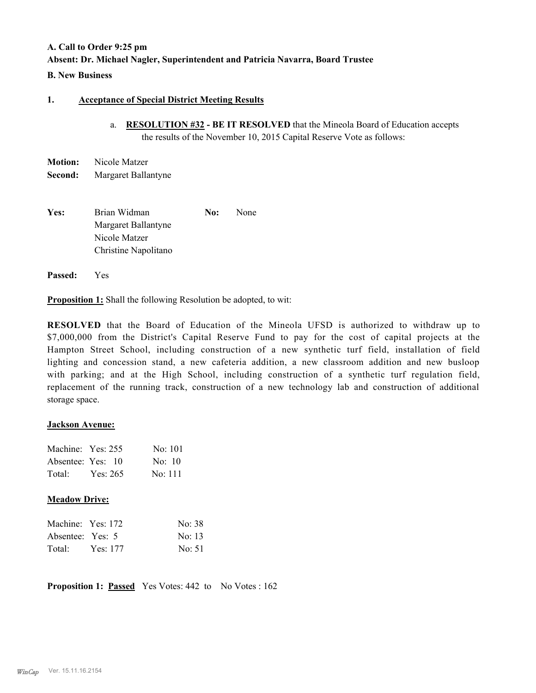# **A. Call to Order 9:25 pm Absent: Dr. Michael Nagler, Superintendent and Patricia Navarra, Board Trustee**

## **B. New Business**

## **1. Acceptance of Special District Meeting Results**

a. **RESOLUTION #32 - BE IT RESOLVED** that the Mineola Board of Education accepts the results of the November 10, 2015 Capital Reserve Vote as follows:

| <b>Motion:</b> | Nicole Matzer       |
|----------------|---------------------|
| Second:        | Margaret Ballantyne |

**Yes:** Brian Widman **No:** None Margaret Ballantyne Nicole Matzer Christine Napolitano

**Passed:** Yes

**Proposition 1:** Shall the following Resolution be adopted, to wit:

**RESOLVED** that the Board of Education of the Mineola UFSD is authorized to withdraw up to \$7,000,000 from the District's Capital Reserve Fund to pay for the cost of capital projects at the Hampton Street School, including construction of a new synthetic turf field, installation of field lighting and concession stand, a new cafeteria addition, a new classroom addition and new busloop with parking; and at the High School, including construction of a synthetic turf regulation field, replacement of the running track, construction of a new technology lab and construction of additional storage space.

## **Jackson Avenue:**

| Machine: Yes: 255 |          | No: 101        |
|-------------------|----------|----------------|
| Absentee: Yes: 10 |          | $\text{No}$ 10 |
| Total:            | Yes: 265 | No: 111        |

## **Meadow Drive:**

| Machine: Yes: 172 |          | No: 38           |
|-------------------|----------|------------------|
| Absentee: Yes: 5  |          | No: 13           |
| Total:            | Yes: 177 | $\text{No: } 51$ |

**Proposition 1: Passed** Yes Votes: 442 to No Votes : 162